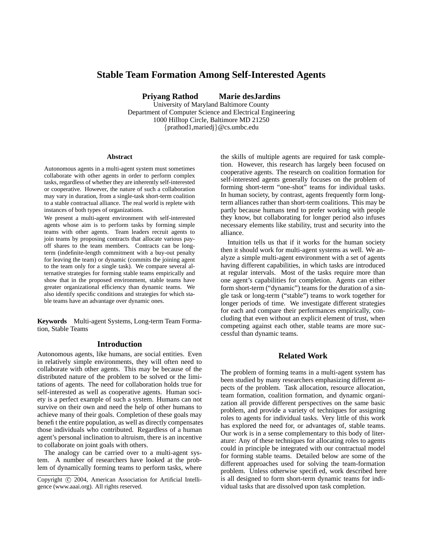# **Stable Team Formation Among Self-Interested Agents**

**Priyang Rathod Marie desJardins**

University of Maryland Baltimore County Department of Computer Science and Electrical Engineering 1000 Hilltop Circle, Baltimore MD 21250 {prathod1,mariedj}@cs.umbc.edu

#### **Abstract**

Autonomous agents in a multi-agent system must sometimes collaborate with other agents in order to perform complex tasks, regardless of whether they are inherently self-interested or cooperative. However, the nature of such a collaboration may vary in duration, from a single-task short-term coalition to a stable contractual alliance. The real world is replete with instances of both types of organizations.

We present a multi-agent environment with self-interested agents whose aim is to perform tasks by forming simple teams with other agents. Team leaders recruit agents to join teams by proposing contracts that allocate various payoff shares to the team members. Contracts can be longterm (indefinite-length commitment with a buy-out penalty for leaving the team) or dynamic (commits the joining agent to the team only for a single task). We compare several alternative strategies for forming stable teams empirically and show that in the proposed environment, stable teams have greater organizational efficiency than dynamic teams. We also identify specific conditions and strategies for which stable teams have an advantage over dynamic ones.

**Keywords** Multi-agent Systems, Long-term Team Formation, Stable Teams

## **Introduction**

Autonomous agents, like humans, are social entities. Even in relatively simple environments, they will often need to collaborate with other agents. This may be because of the distributed nature of the problem to be solved or the limitations of agents. The need for collaboration holds true for self-interested as well as cooperative agents. Human society is a perfect example of such a system. Humans can not survive on their own and need the help of other humans to achieve many of their goals. Completion of these goals may benefit the entire population, as well as directly compensates those individuals who contributed. Regardless of a human agent's personal inclination to altruism, there is an incentive to collaborate on joint goals with others.

The analogy can be carried over to a multi-agent system. A number of researchers have looked at the problem of dynamically forming teams to perform tasks, where

the skills of multiple agents are required for task completion. However, this research has largely been focused on cooperative agents. The research on coalition formation for self-interested agents generally focuses on the problem of forming short-term "one-shot" teams for individual tasks. In human society, by contrast, agents frequently form longterm alliances rather than short-term coalitions. This may be partly because humans tend to prefer working with people they know, but collaborating for longer period also infuses necessary elements like stability, trust and security into the alliance.

Intuition tells us that if it works for the human society then it should work for multi-agent systems as well. We analyze a simple multi-agent environment with a set of agents having different capabilities, in which tasks are introduced at regular intervals. Most of the tasks require more than one agent's capabilities for completion. Agents can either form short-term ("dynamic") teams for the duration of a single task or long-term ("stable") teams to work together for longer periods of time. We investigate different strategies for each and compare their performances empirically, concluding that even without an explicit element of trust, when competing against each other, stable teams are more successful than dynamic teams.

## **Related Work**

The problem of forming teams in a multi-agent system has been studied by many researchers emphasizing different aspects of the problem. Task allocation, resource allocation, team formation, coalition formation, and dynamic organization all provide different perspectives on the same basic problem, and provide a variety of techniques for assigning roles to agents for individual tasks. Very little of this work has explored the need for, or advantages of, stable teams. Our work is in a sense complementary to this body of literature: Any of these techniques for allocating roles to agents could in principle be integrated with our contractual model for forming stable teams. Detailed below are some of the different approaches used for solving the team-formation problem. Unless otherwise specified, work described here is all designed to form short-term dynamic teams for individual tasks that are dissolved upon task completion.

Copyright © 2004, American Association for Artificial Intelligence (www.aaai.org). All rights reserved.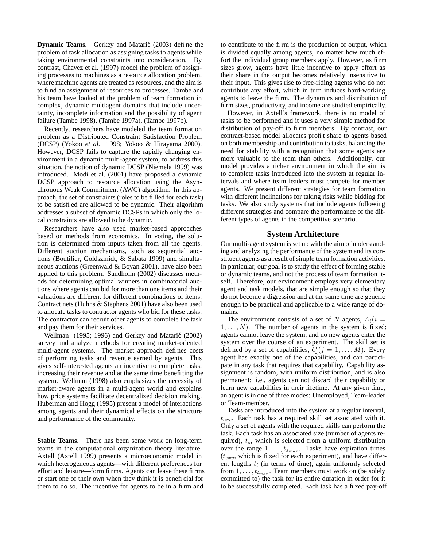**Dynamic Teams.** Gerkey and Matarić (2003) define the problem of task allocation as assigning tasks to agents while taking environmental constraints into consideration. By contrast, Chavez et al. (1997) model the problem of assigning processes to machines as a resource allocation problem, where machine agents are treated as resources, and the aim is to find an assignment of resources to processes. Tambe and his team have looked at the problem of team formation in complex, dynamic multiagent domains that include uncertainty, incomplete information and the possibility of agent failure (Tambe 1998), (Tambe 1997a), (Tambe 1997b).

Recently, researchers have modeled the team formation problem as a Distributed Constraint Satisfaction Problem (DCSP) (Yokoo *et al.* 1998; Yokoo & Hirayama 2000). However, DCSP fails to capture the rapidly changing environment in a dynamic multi-agent system; to address this situation, the notion of dynamic DCSP (Niemelä 1999) was introduced. Modi et al. (2001) have proposed a dynamic DCSP approach to resource allocation using the Asynchronous Weak Commitment (AWC) algorithm. In this approach, the set of constraints (roles to be filled for each task) to be satisfied are allowed to be dynamic. Their algorithm addresses a subset of dynamic DCSPs in which only the local constraints are allowed to be dynamic.

Researchers have also used market-based approaches based on methods from economics. In voting, the solution is determined from inputs taken from all the agents. Different auction mechanisms, such as sequential auctions (Boutilier, Goldszmidt, & Sabata 1999) and simultaneous auctions (Greenwald & Boyan 2001), have also been applied to this problem. Sandholm (2002) discusses methods for determining optimal winners in combinatorial auctions where agents can bid for more than one items and their valuations are different for different combinations of items. Contract nets (Huhns & Stephens 2001) have also been used to allocate tasks to contractor agents who bid for these tasks. The contractor can recruit other agents to complete the task and pay them for their services.

Wellman (1995; 1996) and Gerkey and Mataric´ (2002) survey and analyze methods for creating market-oriented multi-agent systems. The market approach defines costs of performing tasks and revenue earned by agents. This gives self-interested agents an incentive to complete tasks, increasing their revenue and at the same time benefiting the system. Wellman (1998) also emphasizes the necessity of market-aware agents in a multi-agent world and explains how price systems facilitate decentralized decision making. Huberman and Hogg (1995) present a model of interactions among agents and their dynamical effects on the structure and performance of the community.

**Stable Teams.** There has been some work on long-term teams in the computational organization theory literature. Axtell (Axtell 1999) presents a microeconomic model in which heterogeneous agents—with different preferences for effort and leisure—form firms. Agents can leave these firms or start one of their own when they think it is beneficial for them to do so. The incentive for agents to be in a firm and

to contribute to the firm is the production of output, which is divided equally among agents, no matter how much effort the individual group members apply. However, as firm sizes grow, agents have little incentive to apply effort as their share in the output becomes relatively insensitive to their input. This gives rise to free-riding agents who do not contribute any effort, which in turn induces hard-working agents to leave the firm. The dynamics and distribution of firm sizes, productivity, and income are studied empirically.

However, in Axtell's framework, there is no model of tasks to be performed and it uses a very simple method for distribution of pay-off to firm members. By contrast, our contract-based model allocates profit share to agents based on both membership and contribution to tasks, balancing the need for stability with a recognition that some agents are more valuable to the team than others. Additionally, our model provides a richer environment in which the aim is to complete tasks introduced into the system at regular intervals and where team leaders must compete for member agents. We present different strategies for team formation with different inclinations for taking risks while bidding for tasks. We also study systems that include agents following different strategies and compare the performance of the different types of agents in the competitive scenario.

### **System Architecture**

Our multi-agent system is set up with the aim of understanding and analyzing the performance of the system and its constituent agents as a result of simple team formation activities. In particular, our goal is to study the effect of forming stable or dynamic teams, and not the process of team formation itself. Therefore, our environment employs very elementary agent and task models, that are simple enough so that they do not become a digression and at the same time are generic enough to be practical and applicable to a wide range of domains.

The environment consists of a set of N agents,  $A_i(i =$  $1, \ldots, N$ ). The number of agents in the system is fixed: agents cannot leave the system, and no new agents enter the system over the course of an experiment. The skill set is defined by a set of capabilities,  $C_i (j = 1, \ldots, M)$ . Every agent has exactly one of the capabilities, and can participate in any task that requires that capability. Capability assignment is random, with uniform distribution, and is also permanent: i.e., agents can not discard their capability or learn new capabilities in their lifetime. At any given time, an agent is in one of three modes: Unemployed, Team-leader or Team-member.

Tasks are introduced into the system at a regular interval,  $t_{arr}$ . Each task has a required skill set associated with it. Only a set of agents with the required skills can perform the task. Each task has an associated size (number of agents required),  $t_s$ , which is selected from a uniform distribution over the range  $1, \ldots, t_{s_{max}}$ . Tasks have expiration times  $(t_{exp}$ , which is fixed for each experiment), and have different lengths  $t_l$  (in terms of time), again uniformly selected from  $1, \ldots, t_{l_{max}}$ . Team members must work on (be solely committed to) the task for its entire duration in order for it to be successfully completed. Each task has a fixed pay-off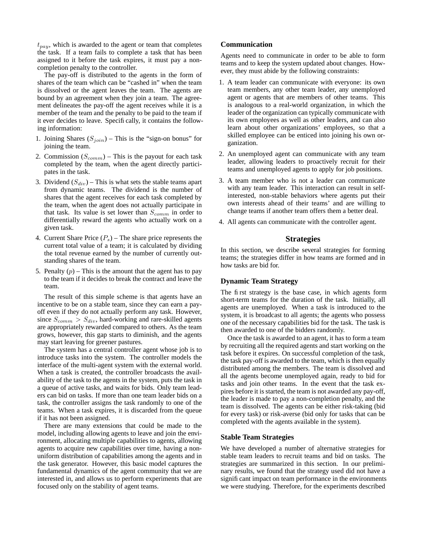$t_{pay}$ , which is awarded to the agent or team that completes the task. If a team fails to complete a task that has been assigned to it before the task expires, it must pay a noncompletion penalty to the controller.

The pay-off is distributed to the agents in the form of shares of the team which can be "cashed in" when the team is dissolved or the agent leaves the team. The agents are bound by an agreement when they join a team. The agreement delineates the pay-off the agent receives while it is a member of the team and the penalty to be paid to the team if it ever decides to leave. Specifically, it contains the following information:

- 1. Joining Shares  $(S<sub>join</sub>)$  This is the "sign-on bonus" for joining the team.
- 2. Commission  $(S_{comm})$  This is the payout for each task completed by the team, when the agent directly participates in the task.
- 3. Dividend  $(S_{div})$  This is what sets the stable teams apart from dynamic teams. The dividend is the number of shares that the agent receives for each task completed by the team, when the agent does not actually participate in that task. Its value is set lower than  $S_{comm}$  in order to differentially reward the agents who actually work on a given task.
- 4. Current Share Price  $(P_s)$  The share price represents the current total value of a team; it is calculated by dividing the total revenue earned by the number of currently outstanding shares of the team.
- 5. Penalty  $(p)$  This is the amount that the agent has to pay to the team if it decides to break the contract and leave the team.

The result of this simple scheme is that agents have an incentive to be on a stable team, since they can earn a payoff even if they do not actually perform any task. However, since  $S_{comm} > S_{div}$ , hard-working and rare-skilled agents are appropriately rewarded compared to others. As the team grows, however, this gap starts to diminish, and the agents may start leaving for greener pastures.

The system has a central controller agent whose job is to introduce tasks into the system. The controller models the interface of the multi-agent system with the external world. When a task is created, the controller broadcasts the availability of the task to the agents in the system, puts the task in a queue of active tasks, and waits for bids. Only team leaders can bid on tasks. If more than one team leader bids on a task, the controller assigns the task randomly to one of the teams. When a task expires, it is discarded from the queue if it has not been assigned.

There are many extensions that could be made to the model, including allowing agents to leave and join the environment, allocating multiple capabilities to agents, allowing agents to acquire new capabilities over time, having a nonuniform distribution of capabilities among the agents and in the task generator. However, this basic model captures the fundamental dynamics of the agent community that we are interested in, and allows us to perform experiments that are focused only on the stability of agent teams.

## **Communication**

Agents need to communicate in order to be able to form teams and to keep the system updated about changes. However, they must abide by the following constraints:

- 1. A team leader can communicate with everyone: its own team members, any other team leader, any unemployed agent or agents that are members of other teams. This is analogous to a real-world organization, in which the leader of the organization can typically communicate with its own employees as well as other leaders, and can also learn about other organizations' employees, so that a skilled employee can be enticed into joining his own organization.
- 2. An unemployed agent can communicate with any team leader, allowing leaders to proactively recruit for their teams and unemployed agents to apply for job positions.
- 3. A team member who is not a leader can communicate with any team leader. This interaction can result in selfinterested, non-stable behaviors where agents put their own interests ahead of their teams' and are willing to change teams if another team offers them a better deal.
- 4. All agents can communicate with the controller agent.

## **Strategies**

In this section, we describe several strategies for forming teams; the strategies differ in how teams are formed and in how tasks are bid for.

#### **Dynamic Team Strategy**

The first strategy is the base case, in which agents form short-term teams for the duration of the task. Initially, all agents are unemployed. When a task is introduced to the system, it is broadcast to all agents; the agents who possess one of the necessary capabilities bid for the task. The task is then awarded to one of the bidders randomly.

Once the task is awarded to an agent, it has to form a team by recruiting all the required agents and start working on the task before it expires. On successful completion of the task, the task pay-off is awarded to the team, which is then equally distributed among the members. The team is dissolved and all the agents become unemployed again, ready to bid for tasks and join other teams. In the event that the task expires before it is started, the team is not awarded any pay-off, the leader is made to pay a non-completion penalty, and the team is dissolved. The agents can be either risk-taking (bid for every task) or risk-averse (bid only for tasks that can be completed with the agents available in the system).

## **Stable Team Strategies**

We have developed a number of alternative strategies for stable team leaders to recruit teams and bid on tasks. The strategies are summarized in this section. In our preliminary results, we found that the strategy used did not have a significant impact on team performance in the environments we were studying. Therefore, for the experiments described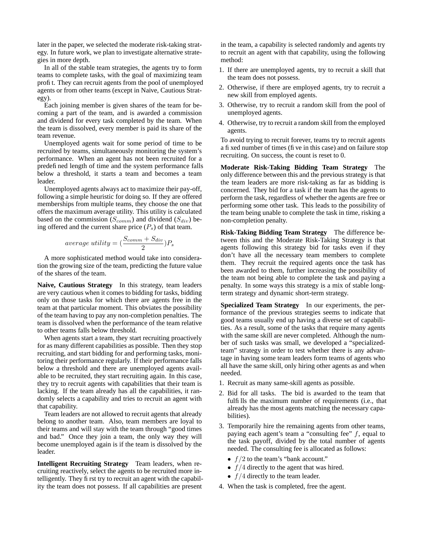later in the paper, we selected the moderate risk-taking strategy. In future work, we plan to investigate alternative strategies in more depth.

In all of the stable team strategies, the agents try to form teams to complete tasks, with the goal of maximizing team profit. They can recruit agents from the pool of unemployed agents or from other teams (except in Naive, Cautious Strategy).

Each joining member is given shares of the team for becoming a part of the team, and is awarded a commission and dividend for every task completed by the team. When the team is dissolved, every member is paid its share of the team revenue.

Unemployed agents wait for some period of time to be recruited by teams, simultaneously monitoring the system's performance. When an agent has not been recruited for a predefined length of time and the system performance falls below a threshold, it starts a team and becomes a team leader.

Unemployed agents always act to maximize their pay-off, following a simple heuristic for doing so. If they are offered memberships from multiple teams, they choose the one that offers the maximum average utility. This utility is calculated based on the commission ( $S_{comm}$ ) and dividend ( $S_{div}$ ) being offered and the current share price  $(P_s)$  of that team.

$$
average \; utility = (\frac{S_{comm} + S_{div}}{2})P_s
$$

A more sophisticated method would take into consideration the growing size of the team, predicting the future value of the shares of the team.

**Naive, Cautious Strategy** In this strategy, team leaders are very cautious when it comes to bidding for tasks, bidding only on those tasks for which there are agents free in the team at that particular moment. This obviates the possibility of the team having to pay any non-completion penalties. The team is dissolved when the performance of the team relative to other teams falls below threshold.

When agents start a team, they start recruiting proactively for as many different capabilities as possible. Then they stop recruiting, and start bidding for and performing tasks, monitoring their performance regularly. If their performance falls below a threshold and there are unemployed agents available to be recruited, they start recruiting again. In this case, they try to recruit agents with capabilities that their team is lacking. If the team already has all the capabilities, it randomly selects a capability and tries to recruit an agent with that capability.

Team leaders are not allowed to recruit agents that already belong to another team. Also, team members are loyal to their teams and will stay with the team through "good times and bad." Once they join a team, the only way they will become unemployed again is if the team is dissolved by the leader.

**Intelligent Recruiting Strategy** Team leaders, when recruiting reactively, select the agents to be recruited more intelligently. They first try to recruit an agent with the capability the team does not possess. If all capabilities are present

in the team, a capability is selected randomly and agents try to recruit an agent with that capability, using the following method:

- 1. If there are unemployed agents, try to recruit a skill that the team does not possess.
- 2. Otherwise, if there are employed agents, try to recruit a new skill from employed agents.
- 3. Otherwise, try to recruit a random skill from the pool of unemployed agents.
- 4. Otherwise, try to recruit a random skill from the employed agents.

To avoid trying to recruit forever, teams try to recruit agents a fixed number of times (five in this case) and on failure stop recruiting. On success, the count is reset to 0.

**Moderate Risk-Taking Bidding Team Strategy** The only difference between this and the previous strategy is that the team leaders are more risk-taking as far as bidding is concerned. They bid for a task if the team has the agents to perform the task, regardless of whether the agents are free or performing some other task. This leads to the possibility of the team being unable to complete the task in time, risking a non-completion penalty.

**Risk-Taking Bidding Team Strategy** The difference between this and the Moderate Risk-Taking Strategy is that agents following this strategy bid for tasks even if they don't have all the necessary team members to complete them. They recruit the required agents once the task has been awarded to them, further increasing the possibility of the team not being able to complete the task and paying a penalty. In some ways this strategy is a mix of stable longterm strategy and dynamic short-term strategy.

**Specialized Team Strategy** In our experiments, the performance of the previous strategies seems to indicate that good teams usually end up having a diverse set of capabilities. As a result, some of the tasks that require many agents with the same skill are never completed. Although the number of such tasks was small, we developed a "specializedteam" strategy in order to test whether there is any advantage in having some team leaders form teams of agents who all have the same skill, only hiring other agents as and when needed.

- 1. Recruit as many same-skill agents as possible.
- 2. Bid for all tasks. The bid is awarded to the team that fulfills the maximum number of requirements (i.e., that already has the most agents matching the necessary capabilities).
- 3. Temporarily hire the remaining agents from other teams, paying each agent's team a "consulting fee"  $f$ , equal to the task payoff, divided by the total number of agents needed. The consulting fee is allocated as follows:
	- $f/2$  to the team's "bank account."
	- $f/4$  directly to the agent that was hired.
	- $f/4$  directly to the team leader.
- 4. When the task is completed, free the agent.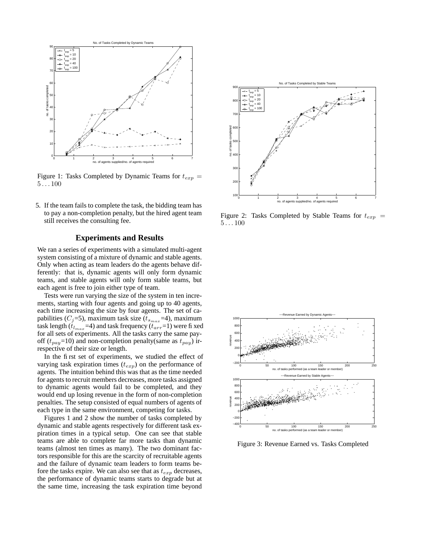

Figure 1: Tasks Completed by Dynamic Teams for  $t_{exp}$  =  $5 \ldots 100$ 

5. If the team fails to complete the task, the bidding team has to pay a non-completion penalty, but the hired agent team still receives the consulting fee.

### **Experiments and Results**

We ran a series of experiments with a simulated multi-agent system consisting of a mixture of dynamic and stable agents. Only when acting as team leaders do the agents behave differently: that is, dynamic agents will only form dynamic teams, and stable agents will only form stable teams, but each agent is free to join either type of team.

Tests were run varying the size of the system in ten increments, starting with four agents and going up to 40 agents, each time increasing the size by four agents. The set of capabilities ( $C_j$ =5), maximum task size ( $t_{s_{max}}$ =4), maximum task length ( $t_{l_{max}}$ =4) and task frequency ( $t_{arr}$ =1) were fixed for all sets of experiments. All the tasks carry the same payoff ( $t_{pay}=10$ ) and non-completion penalty(same as  $t_{pay}$ ) irrespective of their size or length.

In the first set of experiments, we studied the effect of varying task expiration times  $(t_{exp})$  on the performance of agents. The intuition behind this was that as the time needed for agents to recruit members decreases, more tasks assigned to dynamic agents would fail to be completed, and they would end up losing revenue in the form of non-completion penalties. The setup consisted of equal numbers of agents of each type in the same environment, competing for tasks.

Figures 1 and 2 show the number of tasks completed by dynamic and stable agents respectively for different task expiration times in a typical setup. One can see that stable teams are able to complete far more tasks than dynamic teams (almost ten times as many). The two dominant factors responsible for this are the scarcity of recruitable agents and the failure of dynamic team leaders to form teams before the tasks expire. We can also see that as  $t_{exp}$  decreases, the performance of dynamic teams starts to degrade but at the same time, increasing the task expiration time beyond



Figure 2: Tasks Completed by Stable Teams for  $t_{exp}$  =  $5...100$ 



Figure 3: Revenue Earned vs. Tasks Completed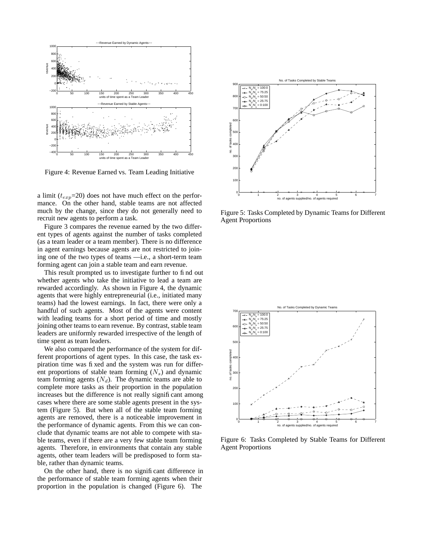

Figure 4: Revenue Earned vs. Team Leading Initiative

a limit ( $t_{exp}$ =20) does not have much effect on the performance. On the other hand, stable teams are not affected much by the change, since they do not generally need to recruit new agents to perform a task.

Figure 3 compares the revenue earned by the two different types of agents against the number of tasks completed (as a team leader or a team member). There is no difference in agent earnings because agents are not restricted to joining one of the two types of teams —i.e., a short-term team forming agent can join a stable team and earn revenue.

This result prompted us to investigate further to find out whether agents who take the initiative to lead a team are rewarded accordingly. As shown in Figure 4, the dynamic agents that were highly entrepreneurial (i.e., initiated many teams) had the lowest earnings. In fact, there were only a handful of such agents. Most of the agents were content with leading teams for a short period of time and mostly joining other teams to earn revenue. By contrast, stable team leaders are uniformly rewarded irrespective of the length of time spent as team leaders.

We also compared the performance of the system for different proportions of agent types. In this case, the task expiration time was fixed and the system was run for different proportions of stable team forming  $(N_s)$  and dynamic team forming agents  $(N_d)$ . The dynamic teams are able to complete more tasks as their proportion in the population increases but the difference is not really significant among cases where there are some stable agents present in the system (Figure 5). But when all of the stable team forming agents are removed, there is a noticeable improvement in the performance of dynamic agents. From this we can conclude that dynamic teams are not able to compete with stable teams, even if there are a very few stable team forming agents. Therefore, in environments that contain any stable agents, other team leaders will be predisposed to form stable, rather than dynamic teams.

On the other hand, there is no significant difference in the performance of stable team forming agents when their proportion in the population is changed (Figure 6). The



Figure 5: Tasks Completed by Dynamic Teams for Different Agent Proportions



Figure 6: Tasks Completed by Stable Teams for Different Agent Proportions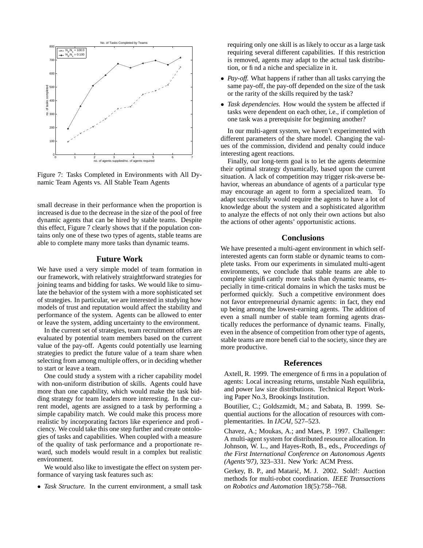

Figure 7: Tasks Completed in Environments with All Dynamic Team Agents vs. All Stable Team Agents

small decrease in their performance when the proportion is increased is due to the decrease in the size of the pool of free dynamic agents that can be hired by stable teams. Despite this effect, Figure 7 clearly shows that if the population contains only one of these two types of agents, stable teams are able to complete many more tasks than dynamic teams.

### **Future Work**

We have used a very simple model of team formation in our framework, with relatively straightforward strategies for joining teams and bidding for tasks. We would like to simulate the behavior of the system with a more sophisticated set of strategies. In particular, we are interested in studying how models of trust and reputation would affect the stability and performance of the system. Agents can be allowed to enter or leave the system, adding uncertainty to the environment.

In the current set of strategies, team recruitment offers are evaluated by potential team members based on the current value of the pay-off. Agents could potentially use learning strategies to predict the future value of a team share when selecting from among multiple offers, or in deciding whether to start or leave a team.

One could study a system with a richer capability model with non-uniform distribution of skills. Agents could have more than one capability, which would make the task bidding strategy for team leaders more interesting. In the current model, agents are assigned to a task by performing a simple capability match. We could make this process more realistic by incorporating factors like experience and proficiency. We could take this one step further and create ontologies of tasks and capabilities. When coupled with a measure of the quality of task performance and a proportionate reward, such models would result in a complex but realistic environment.

We would also like to investigate the effect on system performance of varying task features such as:

• *Task Structure.* In the current environment, a small task

requiring only one skill is as likely to occur as a large task requiring several different capabilities. If this restriction is removed, agents may adapt to the actual task distribution, or find a niche and specialize in it.

- *Pay-off.* What happens if rather than all tasks carrying the same pay-off, the pay-off depended on the size of the task or the rarity of the skills required by the task?
- *Task dependencies.* How would the system be affected if tasks were dependent on each other, i.e., if completion of one task was a prerequisite for beginning another?

In our multi-agent system, we haven't experimented with different parameters of the share model. Changing the values of the commission, dividend and penalty could induce interesting agent reactions.

Finally, our long-term goal is to let the agents determine their optimal strategy dynamically, based upon the current situation. A lack of competition may trigger risk-averse behavior, whereas an abundance of agents of a particular type may encourage an agent to form a specialized team. To adapt successfully would require the agents to have a lot of knowledge about the system and a sophisticated algorithm to analyze the effects of not only their own actions but also the actions of other agents' opportunistic actions.

## **Conclusions**

We have presented a multi-agent environment in which selfinterested agents can form stable or dynamic teams to complete tasks. From our experiments in simulated multi-agent environments, we conclude that stable teams are able to complete significantly more tasks than dynamic teams, especially in time-critical domains in which the tasks must be performed quickly. Such a competitive environment does not favor entrepreneurial dynamic agents: in fact, they end up being among the lowest-earning agents. The addition of even a small number of stable team forming agents drastically reduces the performance of dynamic teams. Finally, even in the absence of competition from other type of agents, stable teams are more beneficial to the society, since they are more productive.

### **References**

Axtell, R. 1999. The emergence of firms in a population of agents: Local increasing returns, unstable Nash equilibria, and power law size distributions. Technical Report Working Paper No.3, Brookings Institution.

Boutilier, C.; Goldszmidt, M.; and Sabata, B. 1999. Sequential auctions for the allocation of resources with complementarities. In *IJCAI*, 527–523.

Chavez, A.; Moukas, A.; and Maes, P. 1997. Challenger: A multi-agent system for distributed resource allocation. In Johnson, W. L., and Hayes-Roth, B., eds., *Proceedings of the First International Conference on Autonomous Agents (Agents'97)*, 323–331. New York: ACM Press.

Gerkey, B. P., and Matarić, M. J. 2002. Sold!: Auction methods for multi-robot coordination. *IEEE Transactions on Robotics and Automation* 18(5):758–768.